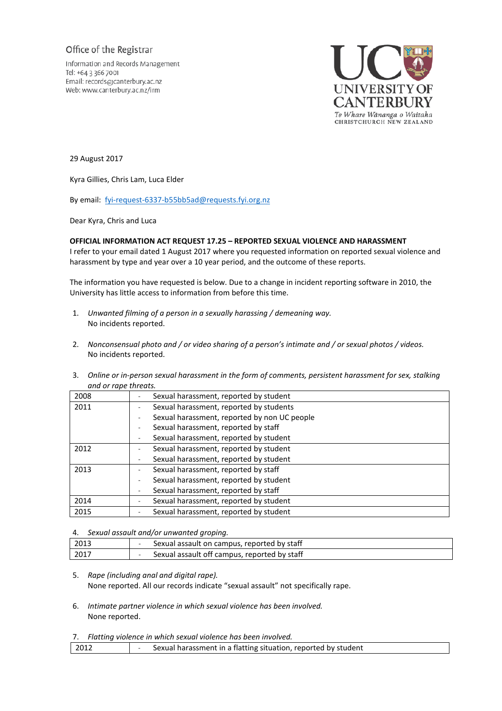## Office of the Registrar

Information and Records Management Tel: +64 3 366 7001 Email: records@canterbury.ac.nz Web: www.canterbury.ac.nz/irm



29 August 2017

Kyra Gillies, Chris Lam, Luca Elder

By email: [fyi-request-6337-b55bb5ad@requests.fyi.org.nz](mailto:xxxxxxxxxxxxxxxxxxxxxxxxx@xxxxxxxx.xxx.xxx.xx)

Dear Kyra, Chris and Luca

## **OFFICIAL INFORMATION ACT REQUEST 17.25 – REPORTED SEXUAL VIOLENCE AND HARASSMENT**

I refer to your email dated 1 August 2017 where you requested information on reported sexual violence and harassment by type and year over a 10 year period, and the outcome of these reports.

The information you have requested is below. Due to a change in incident reporting software in 2010, the University has little access to information from before this time.

- 1. *Unwanted filming of a person in a sexually harassing / demeaning way.* No incidents reported.
- 2. *Nonconsensual photo and / or video sharing of a person's intimate and / or sexual photos / videos.*  No incidents reported.
- 3. *Online or in-person sexual harassment in the form of comments, persistent harassment for sex, stalking and or rape threats.*

| 2008 | Sexual harassment, reported by student       |
|------|----------------------------------------------|
| 2011 | Sexual harassment, reported by students      |
|      | Sexual harassment, reported by non UC people |
|      | Sexual harassment, reported by staff         |
|      | Sexual harassment, reported by student       |
| 2012 | Sexual harassment, reported by student       |
|      | Sexual harassment, reported by student       |
| 2013 | Sexual harassment, reported by staff         |
|      | Sexual harassment, reported by student       |
|      | Sexual harassment, reported by staff         |
| 2014 | Sexual harassment, reported by student       |
| 2015 | Sexual harassment, reported by student       |

## 4. *Sexual assault and/or unwanted groping.*

| 2013<br>Sexual assault on campus, reported by staff       |  |
|-----------------------------------------------------------|--|
|                                                           |  |
| Sexual assault off campus, reported by staff<br>2017<br>- |  |

- 5. *Rape (including anal and digital rape).*  None reported. All our records indicate "sexual assault" not specifically rape.
- 6. *Intimate partner violence in which sexual violence has been involved.* None reported.
- 7. *Flatting violence in which sexual violence has been involved.*

|  | $\begin{array}{c} \text{2012} \\ \text{2012} \end{array}$ | Sexual harassment in a flatting situation, reported by student |  |
|--|-----------------------------------------------------------|----------------------------------------------------------------|--|
|--|-----------------------------------------------------------|----------------------------------------------------------------|--|